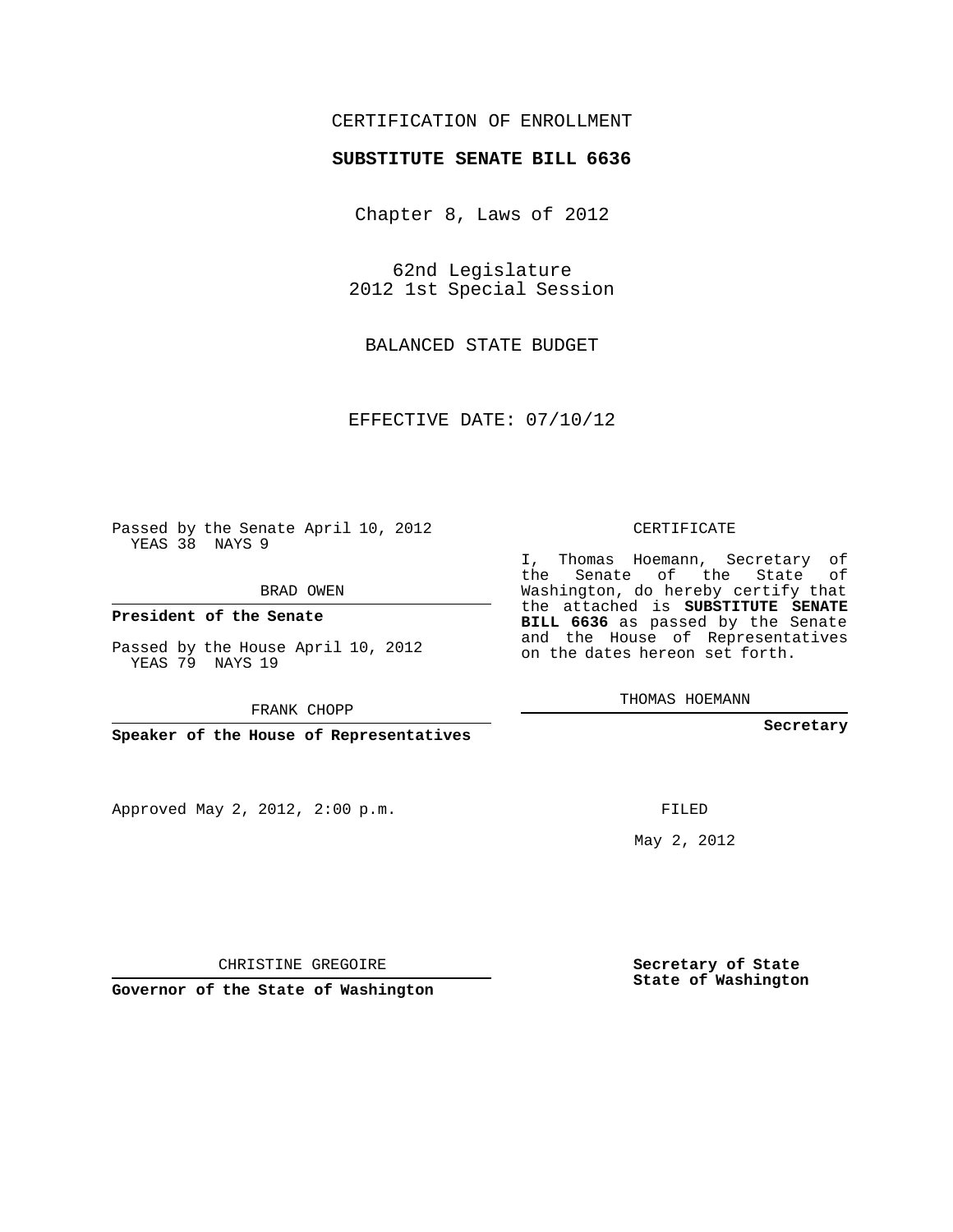## CERTIFICATION OF ENROLLMENT

## **SUBSTITUTE SENATE BILL 6636**

Chapter 8, Laws of 2012

62nd Legislature 2012 1st Special Session

BALANCED STATE BUDGET

EFFECTIVE DATE: 07/10/12

Passed by the Senate April 10, 2012 YEAS 38 NAYS 9

BRAD OWEN

**President of the Senate**

Passed by the House April 10, 2012 YEAS 79 NAYS 19

FRANK CHOPP

**Speaker of the House of Representatives**

Approved May 2, 2012, 2:00 p.m.

CERTIFICATE

I, Thomas Hoemann, Secretary of the Senate of the State of Washington, do hereby certify that the attached is **SUBSTITUTE SENATE BILL 6636** as passed by the Senate and the House of Representatives on the dates hereon set forth.

THOMAS HOEMANN

**Secretary**

FILED

May 2, 2012

**Secretary of State State of Washington**

CHRISTINE GREGOIRE

**Governor of the State of Washington**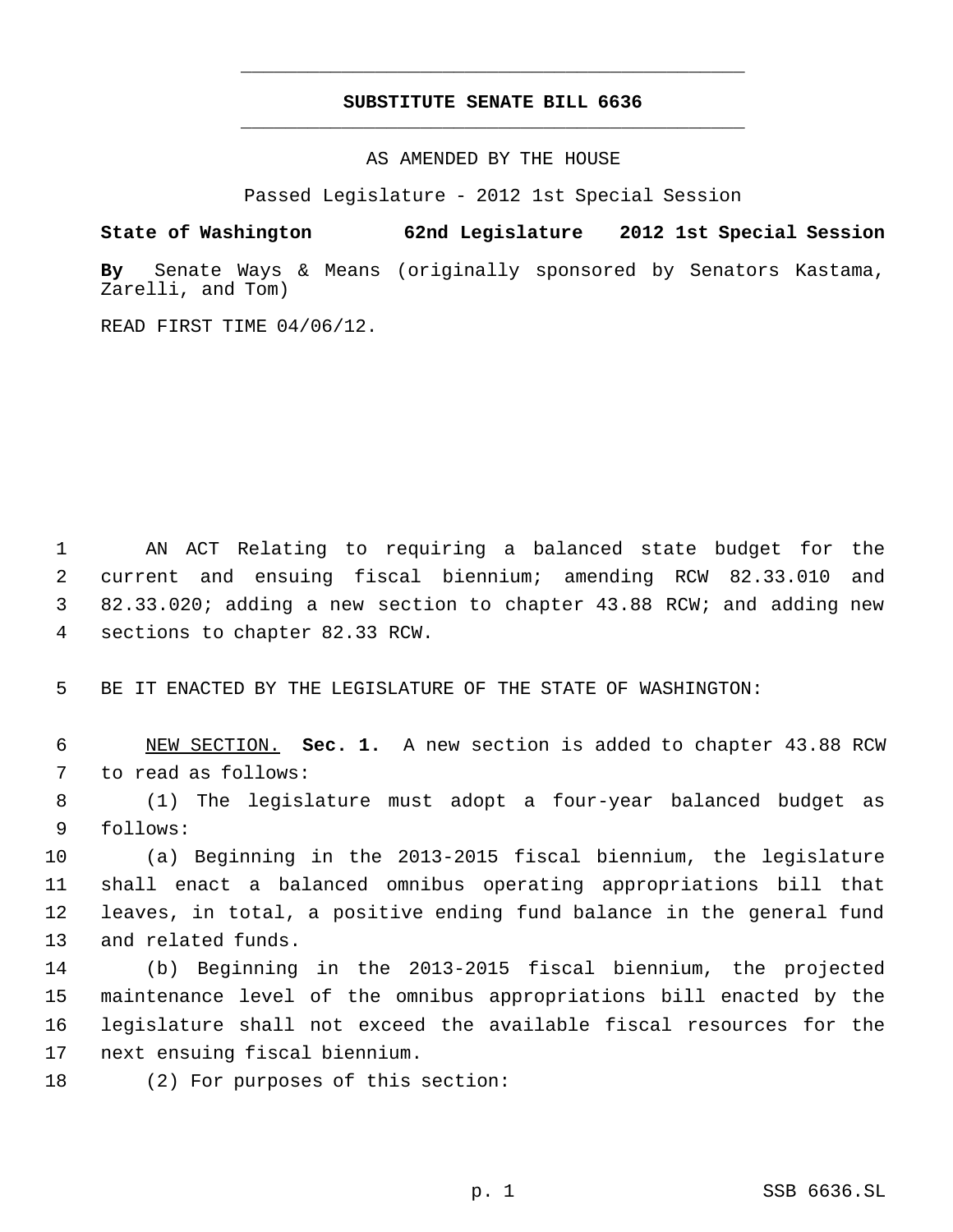## **SUBSTITUTE SENATE BILL 6636** \_\_\_\_\_\_\_\_\_\_\_\_\_\_\_\_\_\_\_\_\_\_\_\_\_\_\_\_\_\_\_\_\_\_\_\_\_\_\_\_\_\_\_\_\_

\_\_\_\_\_\_\_\_\_\_\_\_\_\_\_\_\_\_\_\_\_\_\_\_\_\_\_\_\_\_\_\_\_\_\_\_\_\_\_\_\_\_\_\_\_

AS AMENDED BY THE HOUSE

Passed Legislature - 2012 1st Special Session

**State of Washington 62nd Legislature 2012 1st Special Session**

**By** Senate Ways & Means (originally sponsored by Senators Kastama, Zarelli, and Tom)

READ FIRST TIME 04/06/12.

 AN ACT Relating to requiring a balanced state budget for the current and ensuing fiscal biennium; amending RCW 82.33.010 and 82.33.020; adding a new section to chapter 43.88 RCW; and adding new sections to chapter 82.33 RCW.

BE IT ENACTED BY THE LEGISLATURE OF THE STATE OF WASHINGTON:

 NEW SECTION. **Sec. 1.** A new section is added to chapter 43.88 RCW to read as follows:

 (1) The legislature must adopt a four-year balanced budget as follows:

 (a) Beginning in the 2013-2015 fiscal biennium, the legislature shall enact a balanced omnibus operating appropriations bill that leaves, in total, a positive ending fund balance in the general fund and related funds.

 (b) Beginning in the 2013-2015 fiscal biennium, the projected maintenance level of the omnibus appropriations bill enacted by the legislature shall not exceed the available fiscal resources for the next ensuing fiscal biennium.

(2) For purposes of this section: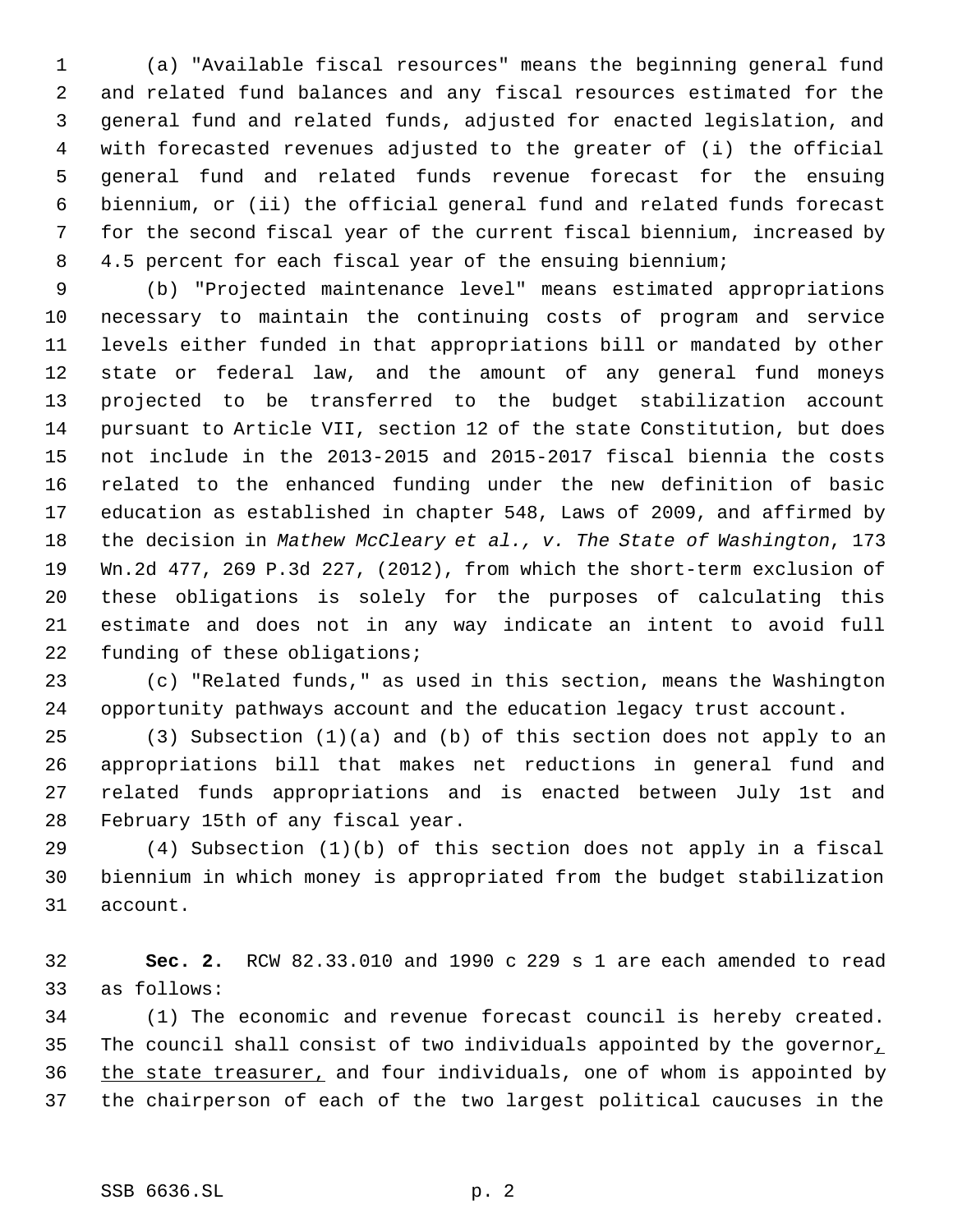(a) "Available fiscal resources" means the beginning general fund and related fund balances and any fiscal resources estimated for the general fund and related funds, adjusted for enacted legislation, and with forecasted revenues adjusted to the greater of (i) the official general fund and related funds revenue forecast for the ensuing biennium, or (ii) the official general fund and related funds forecast for the second fiscal year of the current fiscal biennium, increased by 4.5 percent for each fiscal year of the ensuing biennium;

 (b) "Projected maintenance level" means estimated appropriations necessary to maintain the continuing costs of program and service levels either funded in that appropriations bill or mandated by other state or federal law, and the amount of any general fund moneys projected to be transferred to the budget stabilization account pursuant to Article VII, section 12 of the state Constitution, but does not include in the 2013-2015 and 2015-2017 fiscal biennia the costs related to the enhanced funding under the new definition of basic education as established in chapter 548, Laws of 2009, and affirmed by the decision in *Mathew McCleary et al., v. The State of Washington*, 173 Wn.2d 477, 269 P.3d 227, (2012), from which the short-term exclusion of these obligations is solely for the purposes of calculating this estimate and does not in any way indicate an intent to avoid full funding of these obligations;

 (c) "Related funds," as used in this section, means the Washington opportunity pathways account and the education legacy trust account.

 (3) Subsection (1)(a) and (b) of this section does not apply to an appropriations bill that makes net reductions in general fund and related funds appropriations and is enacted between July 1st and February 15th of any fiscal year.

 (4) Subsection (1)(b) of this section does not apply in a fiscal biennium in which money is appropriated from the budget stabilization account.

 **Sec. 2.** RCW 82.33.010 and 1990 c 229 s 1 are each amended to read as follows:

 (1) The economic and revenue forecast council is hereby created. 35 The council shall consist of two individuals appointed by the governor, 36 the state treasurer, and four individuals, one of whom is appointed by the chairperson of each of the two largest political caucuses in the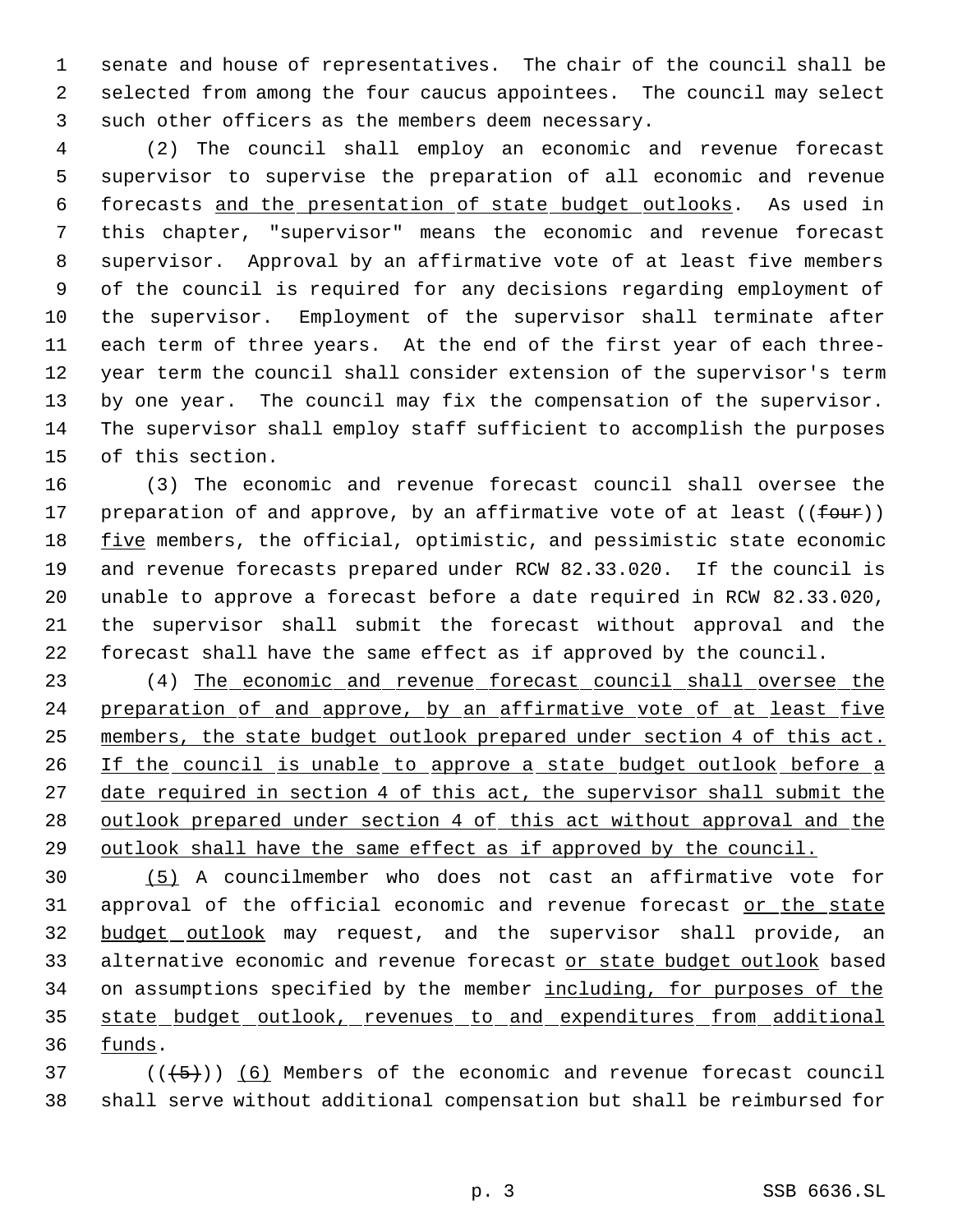senate and house of representatives. The chair of the council shall be selected from among the four caucus appointees. The council may select such other officers as the members deem necessary.

 (2) The council shall employ an economic and revenue forecast supervisor to supervise the preparation of all economic and revenue forecasts and the presentation of state budget outlooks. As used in this chapter, "supervisor" means the economic and revenue forecast supervisor. Approval by an affirmative vote of at least five members of the council is required for any decisions regarding employment of the supervisor. Employment of the supervisor shall terminate after each term of three years. At the end of the first year of each three- year term the council shall consider extension of the supervisor's term by one year. The council may fix the compensation of the supervisor. The supervisor shall employ staff sufficient to accomplish the purposes of this section.

 (3) The economic and revenue forecast council shall oversee the 17 preparation of and approve, by an affirmative vote of at least  $((four))$ 18 five members, the official, optimistic, and pessimistic state economic and revenue forecasts prepared under RCW 82.33.020. If the council is unable to approve a forecast before a date required in RCW 82.33.020, the supervisor shall submit the forecast without approval and the forecast shall have the same effect as if approved by the council.

 (4) The economic and revenue forecast council shall oversee the 24 preparation of and approve, by an affirmative vote of at least five members, the state budget outlook prepared under section 4 of this act. 26 If the council is unable to approve a state budget outlook before a 27 date required in section 4 of this act, the supervisor shall submit the outlook prepared under section 4 of this act without approval and the outlook shall have the same effect as if approved by the council.

 (5) A councilmember who does not cast an affirmative vote for 31 approval of the official economic and revenue forecast or the state 32 budget outlook may request, and the supervisor shall provide, an 33 alternative economic and revenue forecast or state budget outlook based 34 on assumptions specified by the member including, for purposes of the state budget outlook, revenues to and expenditures from additional funds.

37  $((+5))$   $(6)$  Members of the economic and revenue forecast council shall serve without additional compensation but shall be reimbursed for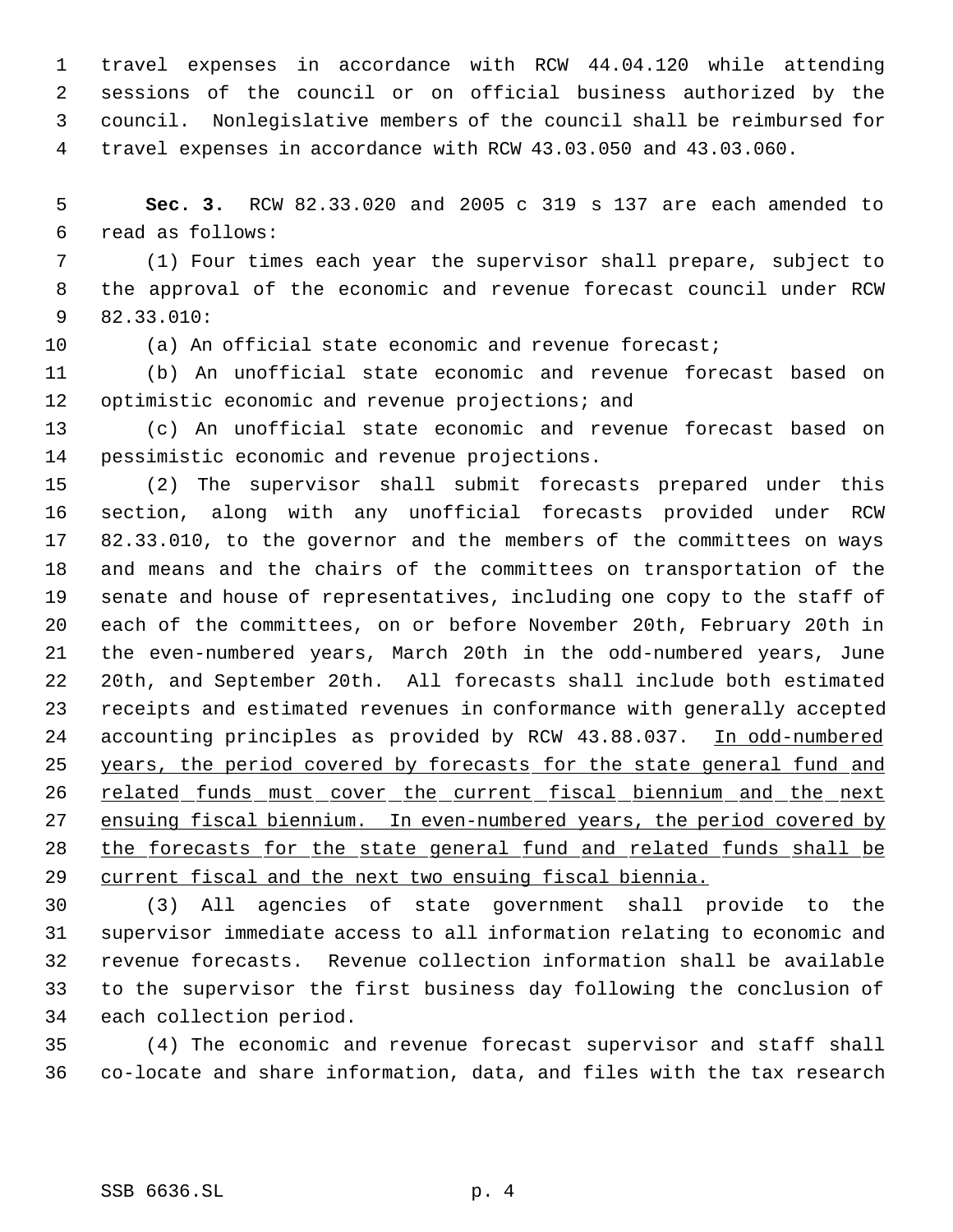travel expenses in accordance with RCW 44.04.120 while attending sessions of the council or on official business authorized by the council. Nonlegislative members of the council shall be reimbursed for travel expenses in accordance with RCW 43.03.050 and 43.03.060.

 **Sec. 3.** RCW 82.33.020 and 2005 c 319 s 137 are each amended to read as follows:

 (1) Four times each year the supervisor shall prepare, subject to the approval of the economic and revenue forecast council under RCW 82.33.010:

(a) An official state economic and revenue forecast;

 (b) An unofficial state economic and revenue forecast based on 12 optimistic economic and revenue projections; and

 (c) An unofficial state economic and revenue forecast based on pessimistic economic and revenue projections.

 (2) The supervisor shall submit forecasts prepared under this section, along with any unofficial forecasts provided under RCW 82.33.010, to the governor and the members of the committees on ways and means and the chairs of the committees on transportation of the senate and house of representatives, including one copy to the staff of each of the committees, on or before November 20th, February 20th in the even-numbered years, March 20th in the odd-numbered years, June 20th, and September 20th. All forecasts shall include both estimated receipts and estimated revenues in conformance with generally accepted 24 accounting principles as provided by RCW 43.88.037. In odd-numbered 25 years, the period covered by forecasts for the state general fund and 26 related funds must cover the current fiscal biennium and the next 27 ensuing fiscal biennium. In even-numbered years, the period covered by the forecasts for the state general fund and related funds shall be current fiscal and the next two ensuing fiscal biennia.

 (3) All agencies of state government shall provide to the supervisor immediate access to all information relating to economic and revenue forecasts. Revenue collection information shall be available to the supervisor the first business day following the conclusion of each collection period.

 (4) The economic and revenue forecast supervisor and staff shall co-locate and share information, data, and files with the tax research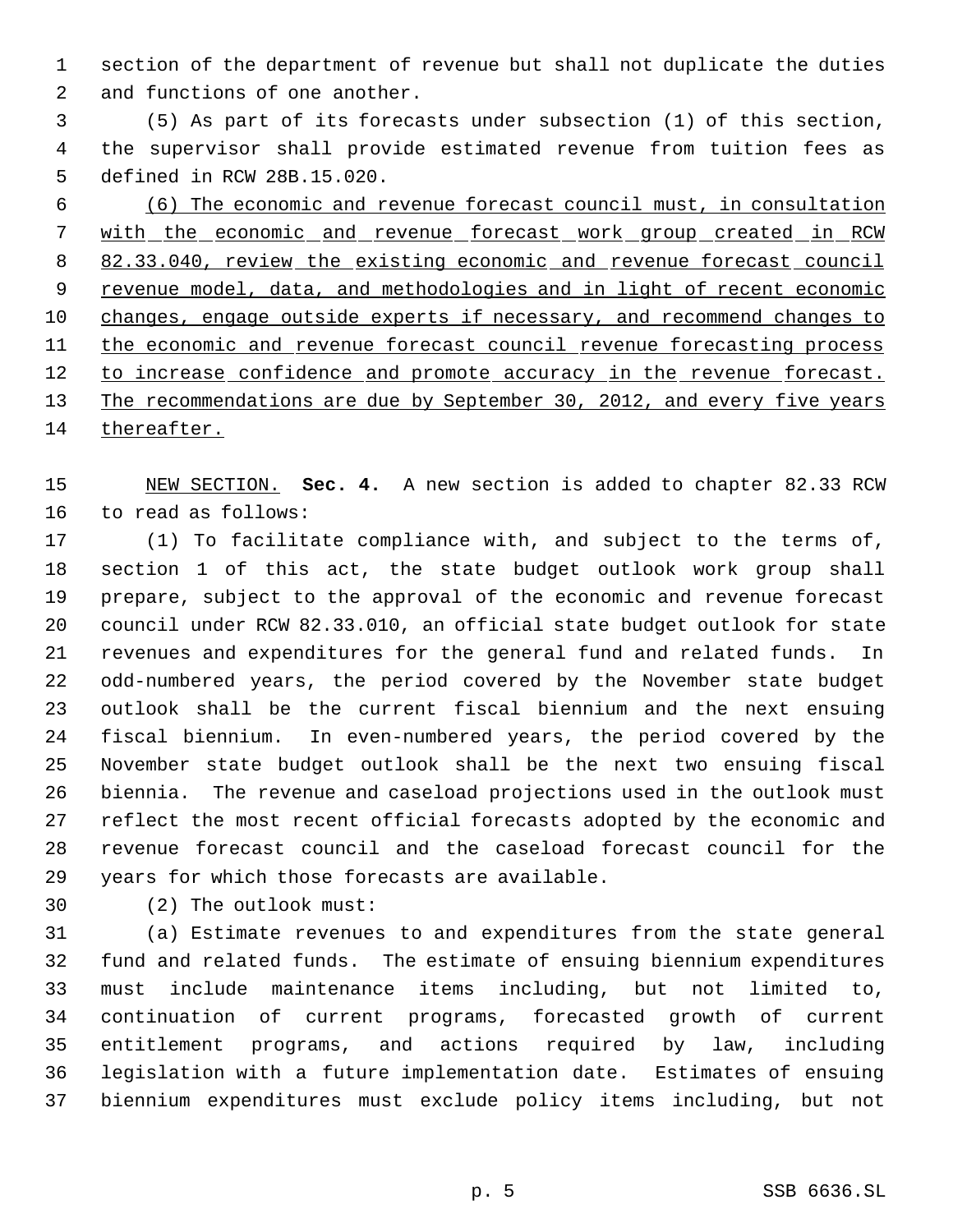section of the department of revenue but shall not duplicate the duties and functions of one another.

 (5) As part of its forecasts under subsection (1) of this section, the supervisor shall provide estimated revenue from tuition fees as defined in RCW 28B.15.020.

 (6) The economic and revenue forecast council must, in consultation 7 with the economic and revenue forecast work group created in RCW 82.33.040, review the existing economic and revenue forecast council 9 revenue model, data, and methodologies and in light of recent economic changes, engage outside experts if necessary, and recommend changes to the economic and revenue forecast council revenue forecasting process 12 to increase confidence and promote accuracy in the revenue forecast. 13 The recommendations are due by September 30, 2012, and every five years thereafter.

 NEW SECTION. **Sec. 4.** A new section is added to chapter 82.33 RCW to read as follows:

 (1) To facilitate compliance with, and subject to the terms of, section 1 of this act, the state budget outlook work group shall prepare, subject to the approval of the economic and revenue forecast council under RCW 82.33.010, an official state budget outlook for state revenues and expenditures for the general fund and related funds. In odd-numbered years, the period covered by the November state budget outlook shall be the current fiscal biennium and the next ensuing fiscal biennium. In even-numbered years, the period covered by the November state budget outlook shall be the next two ensuing fiscal biennia. The revenue and caseload projections used in the outlook must reflect the most recent official forecasts adopted by the economic and revenue forecast council and the caseload forecast council for the years for which those forecasts are available.

(2) The outlook must:

 (a) Estimate revenues to and expenditures from the state general fund and related funds. The estimate of ensuing biennium expenditures must include maintenance items including, but not limited to, continuation of current programs, forecasted growth of current entitlement programs, and actions required by law, including legislation with a future implementation date. Estimates of ensuing biennium expenditures must exclude policy items including, but not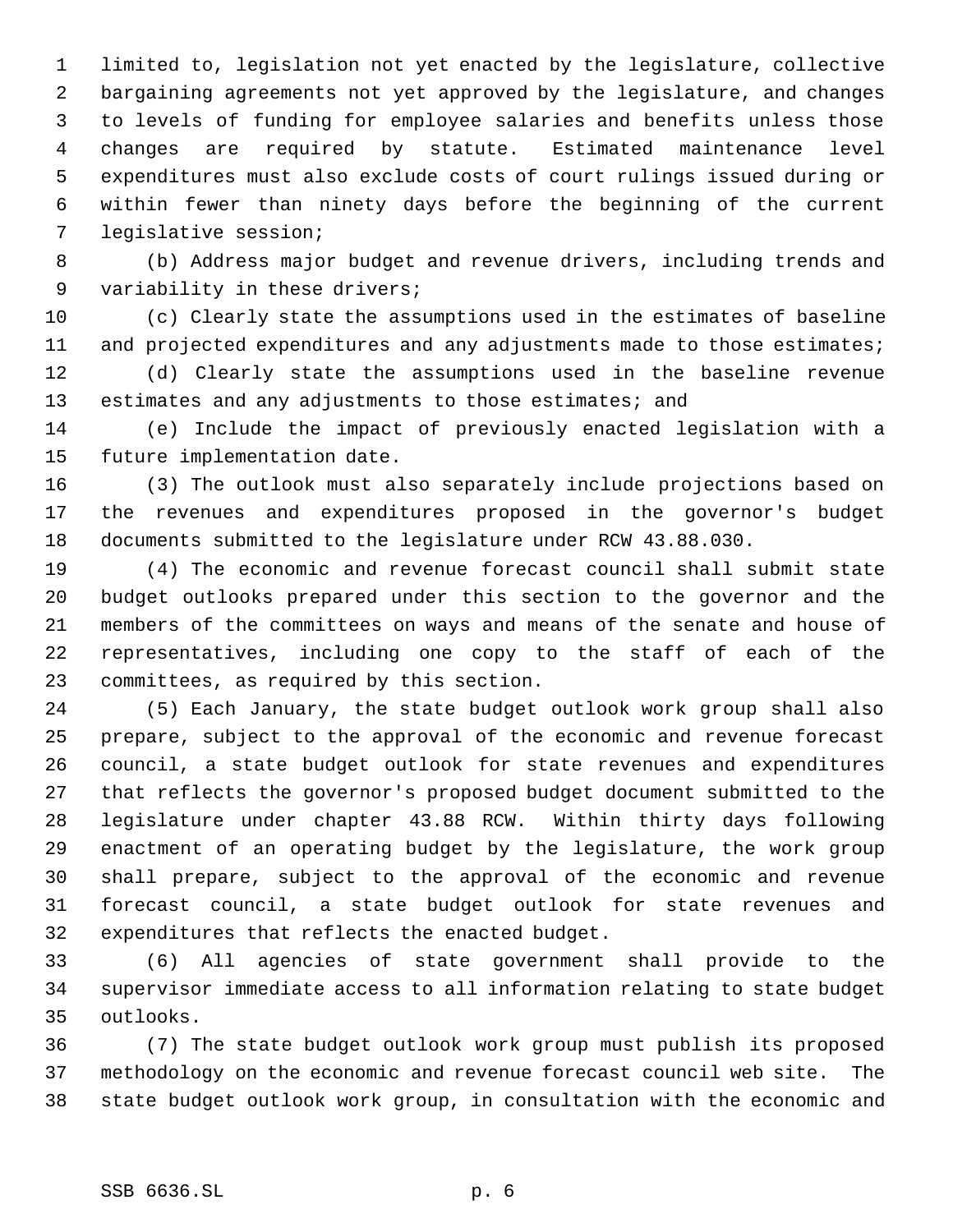limited to, legislation not yet enacted by the legislature, collective bargaining agreements not yet approved by the legislature, and changes to levels of funding for employee salaries and benefits unless those changes are required by statute. Estimated maintenance level expenditures must also exclude costs of court rulings issued during or within fewer than ninety days before the beginning of the current legislative session;

 (b) Address major budget and revenue drivers, including trends and variability in these drivers;

 (c) Clearly state the assumptions used in the estimates of baseline 11 and projected expenditures and any adjustments made to those estimates;

 (d) Clearly state the assumptions used in the baseline revenue 13 estimates and any adjustments to those estimates; and

 (e) Include the impact of previously enacted legislation with a future implementation date.

 (3) The outlook must also separately include projections based on the revenues and expenditures proposed in the governor's budget documents submitted to the legislature under RCW 43.88.030.

 (4) The economic and revenue forecast council shall submit state budget outlooks prepared under this section to the governor and the members of the committees on ways and means of the senate and house of representatives, including one copy to the staff of each of the committees, as required by this section.

 (5) Each January, the state budget outlook work group shall also prepare, subject to the approval of the economic and revenue forecast council, a state budget outlook for state revenues and expenditures that reflects the governor's proposed budget document submitted to the legislature under chapter 43.88 RCW. Within thirty days following enactment of an operating budget by the legislature, the work group shall prepare, subject to the approval of the economic and revenue forecast council, a state budget outlook for state revenues and expenditures that reflects the enacted budget.

 (6) All agencies of state government shall provide to the supervisor immediate access to all information relating to state budget outlooks.

 (7) The state budget outlook work group must publish its proposed methodology on the economic and revenue forecast council web site. The state budget outlook work group, in consultation with the economic and